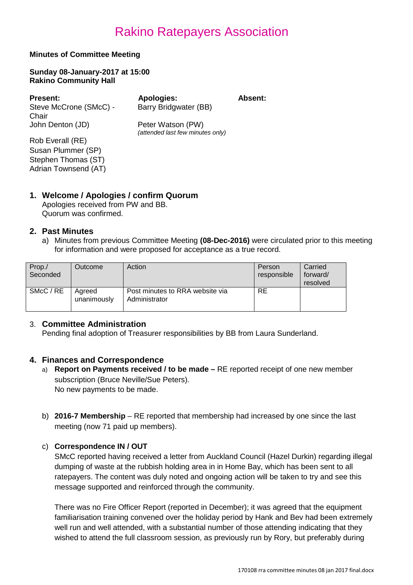### **Minutes of Committee Meeting**

**Sunday 08-January-2017 at 15:00 Rakino Community Hall**

**Present: Apologies: Absent:** Steve McCrone (SMcC) - Chair John Denton (JD) Peter Watson (PW)

*(attended last few minutes only)*

Barry Bridgwater (BB)

Rob Everall (RE) Susan Plummer (SP) Stephen Thomas (ST) Adrian Townsend (AT)

#### **1. Welcome / Apologies / confirm Quorum** Apologies received from PW and BB.

Quorum was confirmed.

# **2. Past Minutes**

a) Minutes from previous Committee Meeting **(08-Dec-2016)** were circulated prior to this meeting for information and were proposed for acceptance as a true record.

| Prop./<br>Seconded | Outcome               | Action                                           | Person<br>responsible | Carried<br>forward/<br>resolved |
|--------------------|-----------------------|--------------------------------------------------|-----------------------|---------------------------------|
| SMcC / RE          | Agreed<br>unanimously | Post minutes to RRA website via<br>Administrator | <b>RE</b>             |                                 |

# 3. **Committee Administration**

Pending final adoption of Treasurer responsibilities by BB from Laura Sunderland.

# **4. Finances and Correspondence**

- a) **Report on Payments received / to be made –** RE reported receipt of one new member subscription (Bruce Neville/Sue Peters). No new payments to be made.
- b) **2016-7 Membership** RE reported that membership had increased by one since the last meeting (now 71 paid up members).

#### c) **Correspondence IN / OUT**

SMcC reported having received a letter from Auckland Council (Hazel Durkin) regarding illegal dumping of waste at the rubbish holding area in in Home Bay, which has been sent to all ratepayers. The content was duly noted and ongoing action will be taken to try and see this message supported and reinforced through the community.

There was no Fire Officer Report (reported in December); it was agreed that the equipment familiarisation training convened over the holiday period by Hank and Bev had been extremely well run and well attended, with a substantial number of those attending indicating that they wished to attend the full classroom session, as previously run by Rory, but preferably during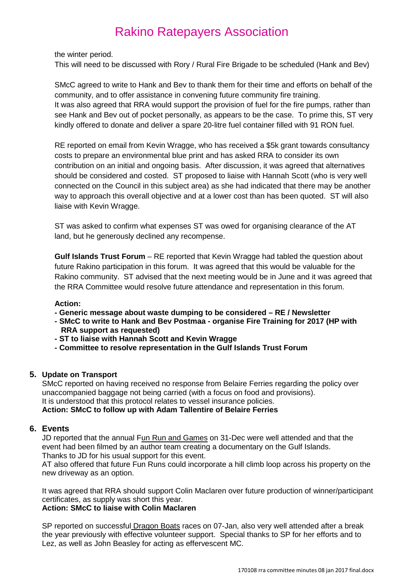the winter period.

This will need to be discussed with Rory / Rural Fire Brigade to be scheduled (Hank and Bev)

SMcC agreed to write to Hank and Bev to thank them for their time and efforts on behalf of the community, and to offer assistance in convening future community fire training. It was also agreed that RRA would support the provision of fuel for the fire pumps, rather than see Hank and Bev out of pocket personally, as appears to be the case. To prime this, ST very kindly offered to donate and deliver a spare 20-litre fuel container filled with 91 RON fuel.

RE reported on email from Kevin Wragge, who has received a \$5k grant towards consultancy costs to prepare an environmental blue print and has asked RRA to consider its own contribution on an initial and ongoing basis. After discussion, it was agreed that alternatives should be considered and costed. ST proposed to liaise with Hannah Scott (who is very well connected on the Council in this subject area) as she had indicated that there may be another way to approach this overall objective and at a lower cost than has been quoted. ST will also liaise with Kevin Wragge.

ST was asked to confirm what expenses ST was owed for organising clearance of the AT land, but he generously declined any recompense.

**Gulf Islands Trust Forum** – RE reported that Kevin Wragge had tabled the question about future Rakino participation in this forum. It was agreed that this would be valuable for the Rakino community. ST advised that the next meeting would be in June and it was agreed that the RRA Committee would resolve future attendance and representation in this forum.

#### **Action:**

- **- Generic message about waste dumping to be considered – RE / Newsletter**
- **- SMcC to write to Hank and Bev Postmaa - organise Fire Training for 2017 (HP with RRA support as requested)**
- **- ST to liaise with Hannah Scott and Kevin Wragge**
- **- Committee to resolve representation in the Gulf Islands Trust Forum**

#### **5. Update on Transport**

SMcC reported on having received no response from Belaire Ferries regarding the policy over unaccompanied baggage not being carried (with a focus on food and provisions). It is understood that this protocol relates to vessel insurance policies. **Action: SMcC to follow up with Adam Tallentire of Belaire Ferries**

#### **6. Events**

JD reported that the annual Fun Run and Games on 31-Dec were well attended and that the event had been filmed by an author team creating a documentary on the Gulf Islands. Thanks to JD for his usual support for this event.

AT also offered that future Fun Runs could incorporate a hill climb loop across his property on the new driveway as an option.

It was agreed that RRA should support Colin Maclaren over future production of winner/participant certificates, as supply was short this year.

#### **Action: SMcC to liaise with Colin Maclaren**

SP reported on successful Dragon Boats races on 07-Jan, also very well attended after a break the year previously with effective volunteer support. Special thanks to SP for her efforts and to Lez, as well as John Beasley for acting as effervescent MC.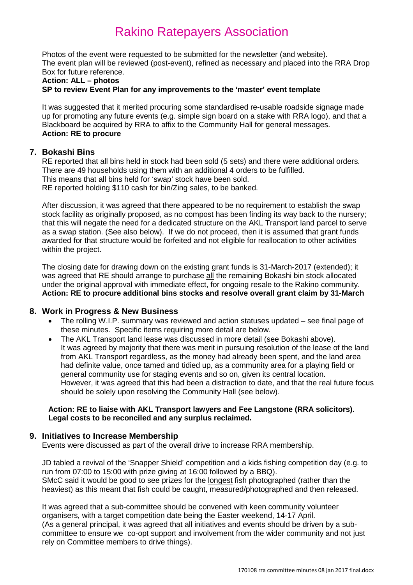Photos of the event were requested to be submitted for the newsletter (and website). The event plan will be reviewed (post-event), refined as necessary and placed into the RRA Drop Box for future reference.

#### **Action: ALL – photos**

**SP to review Event Plan for any improvements to the 'master' event template**

It was suggested that it merited procuring some standardised re-usable roadside signage made up for promoting any future events (e.g. simple sign board on a stake with RRA logo), and that a Blackboard be acquired by RRA to affix to the Community Hall for general messages. **Action: RE to procure**

#### **7. Bokashi Bins**

RE reported that all bins held in stock had been sold (5 sets) and there were additional orders. There are 49 households using them with an additional 4 orders to be fulfilled. This means that all bins held for 'swap' stock have been sold. RE reported holding \$110 cash for bin/Zing sales, to be banked.

After discussion, it was agreed that there appeared to be no requirement to establish the swap stock facility as originally proposed, as no compost has been finding its way back to the nursery; that this will negate the need for a dedicated structure on the AKL Transport land parcel to serve as a swap station. (See also below). If we do not proceed, then it is assumed that grant funds awarded for that structure would be forfeited and not eligible for reallocation to other activities within the project.

The closing date for drawing down on the existing grant funds is 31-March-2017 (extended); it was agreed that RE should arrange to purchase all the remaining Bokashi bin stock allocated under the original approval with immediate effect, for ongoing resale to the Rakino community. **Action: RE to procure additional bins stocks and resolve overall grant claim by 31-March**

#### **8. Work in Progress & New Business**

- The rolling W.I.P. summary was reviewed and action statuses updated see final page of these minutes. Specific items requiring more detail are below.
- The AKL Transport land lease was discussed in more detail (see Bokashi above). It was agreed by majority that there was merit in pursuing resolution of the lease of the land from AKL Transport regardless, as the money had already been spent, and the land area had definite value, once tamed and tidied up, as a community area for a playing field or general community use for staging events and so on, given its central location. However, it was agreed that this had been a distraction to date, and that the real future focus should be solely upon resolving the Community Hall (see below).

#### **Action: RE to liaise with AKL Transport lawyers and Fee Langstone (RRA solicitors). Legal costs to be reconciled and any surplus reclaimed.**

#### **9. Initiatives to Increase Membership**

Events were discussed as part of the overall drive to increase RRA membership.

JD tabled a revival of the 'Snapper Shield' competition and a kids fishing competition day (e.g. to run from 07:00 to 15:00 with prize giving at 16:00 followed by a BBQ). SMcC said it would be good to see prizes for the longest fish photographed (rather than the heaviest) as this meant that fish could be caught, measured/photographed and then released.

It was agreed that a sub-committee should be convened with keen community volunteer organisers, with a target competition date being the Easter weekend, 14-17 April. (As a general principal, it was agreed that all initiatives and events should be driven by a subcommittee to ensure we co-opt support and involvement from the wider community and not just rely on Committee members to drive things).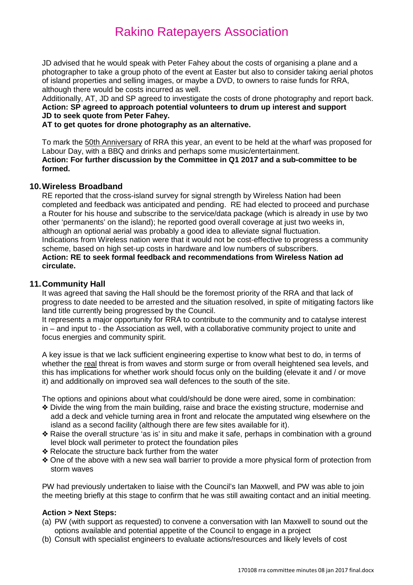JD advised that he would speak with Peter Fahey about the costs of organising a plane and a photographer to take a group photo of the event at Easter but also to consider taking aerial photos of island properties and selling images, or maybe a DVD, to owners to raise funds for RRA, although there would be costs incurred as well.

Additionally, AT, JD and SP agreed to investigate the costs of drone photography and report back. **Action: SP agreed to approach potential volunteers to drum up interest and support JD to seek quote from Peter Fahey.**

**AT to get quotes for drone photography as an alternative.**

To mark the 50th Anniversary of RRA this year, an event to be held at the wharf was proposed for Labour Day, with a BBQ and drinks and perhaps some music/entertainment. **Action: For further discussion by the Committee in Q1 2017 and a sub-committee to be formed.**

### **10.Wireless Broadband**

RE reported that the cross-island survey for signal strength by Wireless Nation had been completed and feedback was anticipated and pending. RE had elected to proceed and purchase a Router for his house and subscribe to the service/data package (which is already in use by two other 'permanents' on the island); he reported good overall coverage at just two weeks in, although an optional aerial was probably a good idea to alleviate signal fluctuation. Indications from Wireless nation were that it would not be cost-effective to progress a community scheme, based on high set-up costs in hardware and low numbers of subscribers. **Action: RE to seek formal feedback and recommendations from Wireless Nation ad circulate.**

#### **11.Community Hall**

It was agreed that saving the Hall should be the foremost priority of the RRA and that lack of progress to date needed to be arrested and the situation resolved, in spite of mitigating factors like land title currently being progressed by the Council.

It represents a major opportunity for RRA to contribute to the community and to catalyse interest in – and input to - the Association as well, with a collaborative community project to unite and focus energies and community spirit.

A key issue is that we lack sufficient engineering expertise to know what best to do, in terms of whether the real threat is from waves and storm surge or from overall heightened sea levels, and this has implications for whether work should focus only on the building (elevate it and / or move it) and additionally on improved sea wall defences to the south of the site.

The options and opinions about what could/should be done were aired, some in combination:

- v Divide the wing from the main building, raise and brace the existing structure, modernise and add a deck and vehicle turning area in front and relocate the amputated wing elsewhere on the island as a second facility (although there are few sites available for it).
- v Raise the overall structure 'as is' in situ and make it safe, perhaps in combination with a ground level block wall perimeter to protect the foundation piles
- **Exelocate the structure back further from the water**
- v One of the above with a new sea wall barrier to provide a more physical form of protection from storm waves

PW had previously undertaken to liaise with the Council's Ian Maxwell, and PW was able to join the meeting briefly at this stage to confirm that he was still awaiting contact and an initial meeting.

### **Action > Next Steps:**

- (a) PW (with support as requested) to convene a conversation with Ian Maxwell to sound out the options available and potential appetite of the Council to engage in a project
- (b) Consult with specialist engineers to evaluate actions/resources and likely levels of cost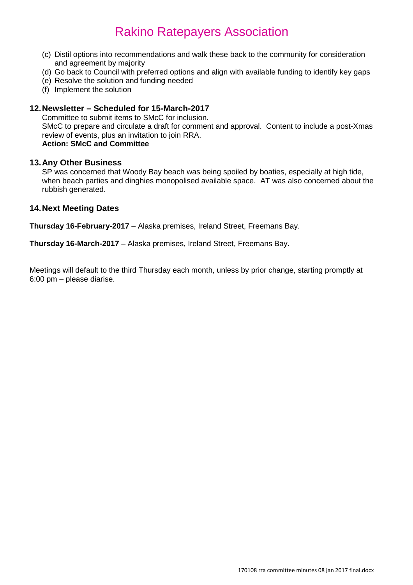- (c) Distil options into recommendations and walk these back to the community for consideration and agreement by majority
- (d) Go back to Council with preferred options and align with available funding to identify key gaps
- (e) Resolve the solution and funding needed
- (f) Implement the solution

### **12.Newsletter – Scheduled for 15-March-2017**

Committee to submit items to SMcC for inclusion. SMcC to prepare and circulate a draft for comment and approval. Content to include a post-Xmas review of events, plus an invitation to join RRA. **Action: SMcC and Committee**

#### **13.Any Other Business**

SP was concerned that Woody Bay beach was being spoiled by boaties, especially at high tide, when beach parties and dinghies monopolised available space. AT was also concerned about the rubbish generated.

### **14.Next Meeting Dates**

**Thursday 16-February-2017** – Alaska premises, Ireland Street, Freemans Bay.

**Thursday 16-March-2017** – Alaska premises, Ireland Street, Freemans Bay.

Meetings will default to the third Thursday each month, unless by prior change, starting promptly at 6:00 pm – please diarise.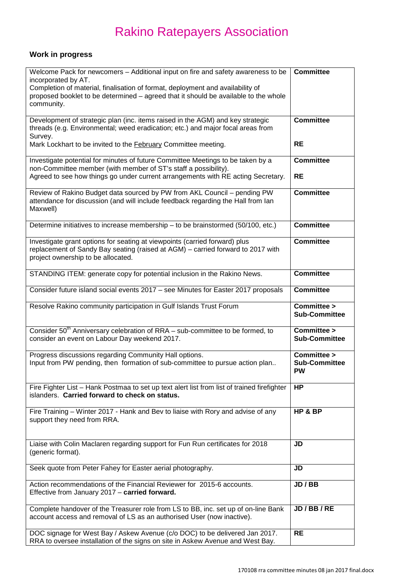# **Work in progress**

| Welcome Pack for newcomers - Additional input on fire and safety awareness to be<br>incorporated by AT.<br>Completion of material, finalisation of format, deployment and availability of<br>proposed booklet to be determined - agreed that it should be available to the whole<br>community. | <b>Committee</b>                                 |
|------------------------------------------------------------------------------------------------------------------------------------------------------------------------------------------------------------------------------------------------------------------------------------------------|--------------------------------------------------|
| Development of strategic plan (inc. items raised in the AGM) and key strategic<br>threads (e.g. Environmental; weed eradication; etc.) and major focal areas from<br>Survey.                                                                                                                   | <b>Committee</b>                                 |
| Mark Lockhart to be invited to the February Committee meeting.                                                                                                                                                                                                                                 | <b>RE</b>                                        |
| Investigate potential for minutes of future Committee Meetings to be taken by a<br>non-Committee member (with member of ST's staff a possibility).<br>Agreed to see how things go under current arrangements with RE acting Secretary.                                                         | <b>Committee</b><br><b>RE</b>                    |
| Review of Rakino Budget data sourced by PW from AKL Council - pending PW<br>attendance for discussion (and will include feedback regarding the Hall from lan<br>Maxwell)                                                                                                                       | <b>Committee</b>                                 |
| Determine initiatives to increase membership - to be brainstormed (50/100, etc.)                                                                                                                                                                                                               | <b>Committee</b>                                 |
| Investigate grant options for seating at viewpoints (carried forward) plus<br>replacement of Sandy Bay seating (raised at AGM) - carried forward to 2017 with<br>project ownership to be allocated.                                                                                            | <b>Committee</b>                                 |
| STANDING ITEM: generate copy for potential inclusion in the Rakino News.                                                                                                                                                                                                                       | <b>Committee</b>                                 |
| Consider future island social events 2017 - see Minutes for Easter 2017 proposals                                                                                                                                                                                                              | <b>Committee</b>                                 |
| Resolve Rakino community participation in Gulf Islands Trust Forum                                                                                                                                                                                                                             | Committee ><br><b>Sub-Committee</b>              |
| Consider 50 <sup>th</sup> Anniversary celebration of RRA - sub-committee to be formed, to<br>consider an event on Labour Day weekend 2017.                                                                                                                                                     | Committee ><br><b>Sub-Committee</b>              |
| Progress discussions regarding Community Hall options.<br>Input from PW pending, then formation of sub-committee to pursue action plan                                                                                                                                                         | Committee ><br><b>Sub-Committee</b><br><b>PW</b> |
| Fire Fighter List - Hank Postmaa to set up text alert list from list of trained firefighter<br>islanders. Carried forward to check on status.                                                                                                                                                  | HP                                               |
| Fire Training - Winter 2017 - Hank and Bev to liaise with Rory and advise of any<br>support they need from RRA.                                                                                                                                                                                | HP & BP                                          |
| Liaise with Colin Maclaren regarding support for Fun Run certificates for 2018<br>(generic format).                                                                                                                                                                                            | <b>JD</b>                                        |
| Seek quote from Peter Fahey for Easter aerial photography.                                                                                                                                                                                                                                     | <b>JD</b>                                        |
| Action recommendations of the Financial Reviewer for 2015-6 accounts.<br>Effective from January 2017 - carried forward.                                                                                                                                                                        | JD / BB                                          |
| Complete handover of the Treasurer role from LS to BB, inc. set up of on-line Bank<br>account access and removal of LS as an authorised User (now inactive).                                                                                                                                   | JD/BB/RE                                         |
| DOC signage for West Bay / Askew Avenue (c/o DOC) to be delivered Jan 2017.<br>RRA to oversee installation of the signs on site in Askew Avenue and West Bay.                                                                                                                                  | <b>RE</b>                                        |